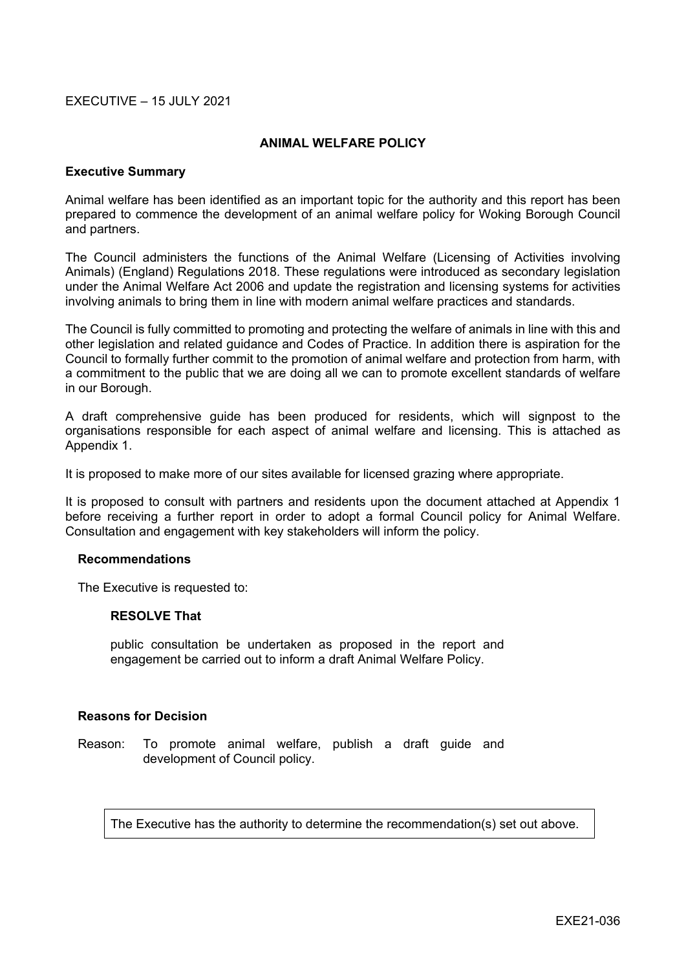### EXECUTIVE – 15 JULY 2021

### **ANIMAL WELFARE POLICY**

### **Executive Summary**

Animal welfare has been identified as an important topic for the authority and this report has been prepared to commence the development of an animal welfare policy for Woking Borough Council and partners.

The Council administers the functions of the Animal Welfare (Licensing of Activities involving Animals) (England) Regulations 2018. These regulations were introduced as secondary legislation under the Animal Welfare Act 2006 and update the registration and licensing systems for activities involving animals to bring them in line with modern animal welfare practices and standards.

The Council is fully committed to promoting and protecting the welfare of animals in line with this and other legislation and related guidance and Codes of Practice. In addition there is aspiration for the Council to formally further commit to the promotion of animal welfare and protection from harm, with a commitment to the public that we are doing all we can to promote excellent standards of welfare in our Borough.

A draft comprehensive guide has been produced for residents, which will signpost to the organisations responsible for each aspect of animal welfare and licensing. This is attached as Appendix 1.

It is proposed to make more of our sites available for licensed grazing where appropriate.

It is proposed to consult with partners and residents upon the document attached at Appendix 1 before receiving a further report in order to adopt a formal Council policy for Animal Welfare. Consultation and engagement with key stakeholders will inform the policy.

### **Recommendations**

The Executive is requested to:

### **RESOLVE That**

public consultation be undertaken as proposed in the report and engagement be carried out to inform a draft Animal Welfare Policy.

### **Reasons for Decision**

Reason: To promote animal welfare, publish a draft guide and development of Council policy.

The Executive has the authority to determine the recommendation(s) set out above.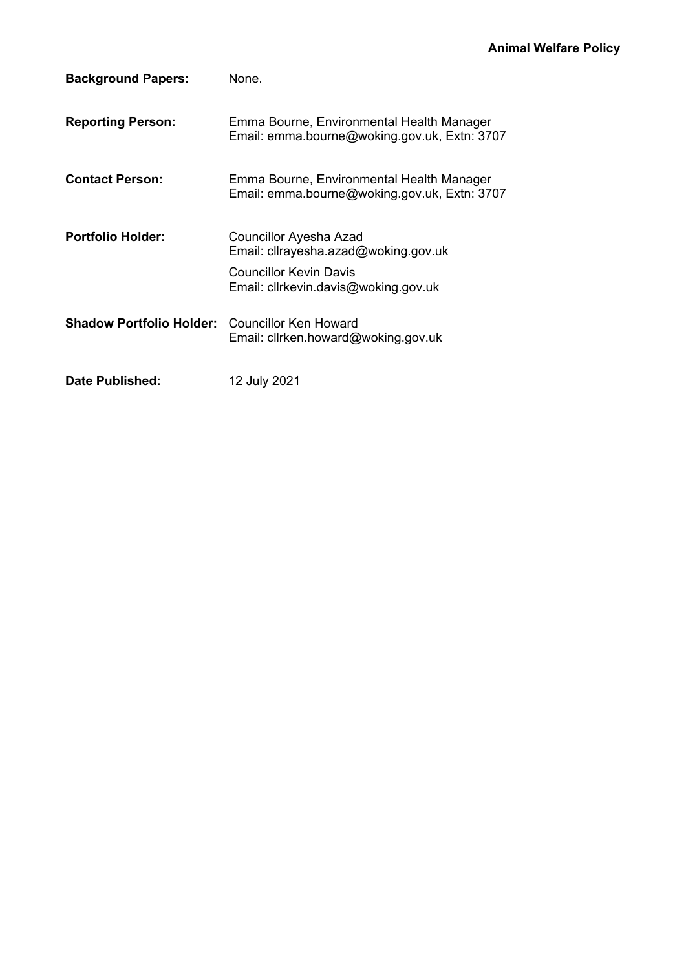| <b>Background Papers:</b>       | None.                                                                                                                            |
|---------------------------------|----------------------------------------------------------------------------------------------------------------------------------|
| <b>Reporting Person:</b>        | Emma Bourne, Environmental Health Manager<br>Email: emma.bourne@woking.gov.uk, Extn: 3707                                        |
| <b>Contact Person:</b>          | Emma Bourne, Environmental Health Manager<br>Email: emma.bourne@woking.gov.uk, Extn: 3707                                        |
| <b>Portfolio Holder:</b>        | Councillor Ayesha Azad<br>Email: cllrayesha.azad@woking.gov.uk<br>Councillor Kevin Davis<br>Email: cllrkevin.davis@woking.gov.uk |
| <b>Shadow Portfolio Holder:</b> | Councillor Ken Howard<br>Email: cllrken.howard@woking.gov.uk                                                                     |
| Date Published:                 | 12 July 2021                                                                                                                     |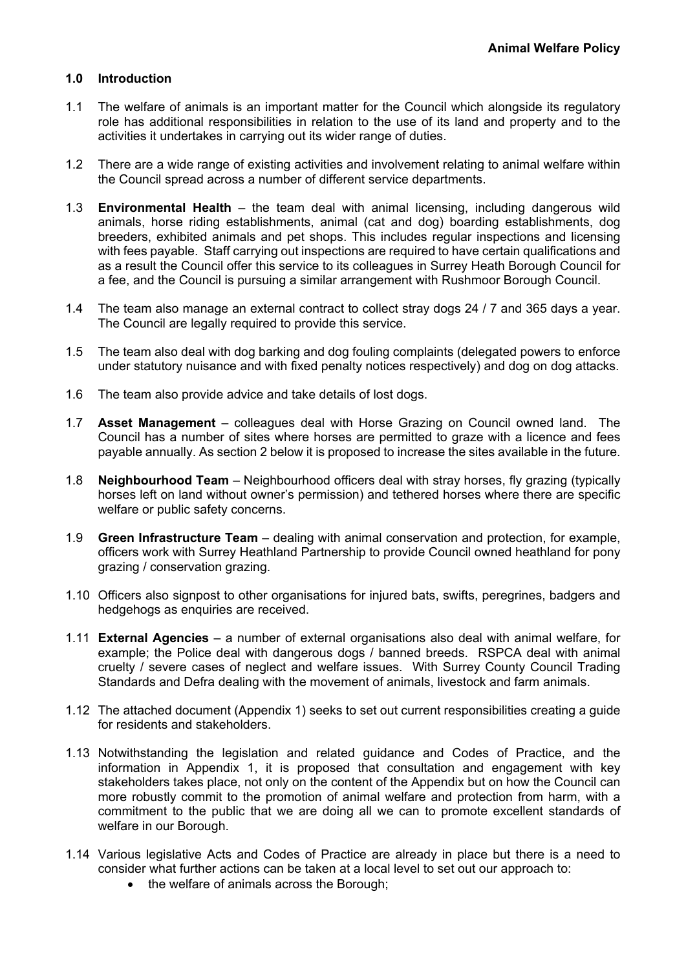# **1.0 Introduction**

- 1.1 The welfare of animals is an important matter for the Council which alongside its regulatory role has additional responsibilities in relation to the use of its land and property and to the activities it undertakes in carrying out its wider range of duties.
- 1.2 There are a wide range of existing activities and involvement relating to animal welfare within the Council spread across a number of different service departments.
- 1.3 **Environmental Health** the team deal with animal licensing, including dangerous wild animals, horse riding establishments, animal (cat and dog) boarding establishments, dog breeders, exhibited animals and pet shops. This includes regular inspections and licensing with fees payable. Staff carrying out inspections are required to have certain qualifications and as a result the Council offer this service to its colleagues in Surrey Heath Borough Council for a fee, and the Council is pursuing a similar arrangement with Rushmoor Borough Council.
- 1.4 The team also manage an external contract to collect stray dogs 24 / 7 and 365 days a year. The Council are legally required to provide this service.
- 1.5 The team also deal with dog barking and dog fouling complaints (delegated powers to enforce under statutory nuisance and with fixed penalty notices respectively) and dog on dog attacks.
- 1.6 The team also provide advice and take details of lost dogs.
- 1.7 **Asset Management** colleagues deal with Horse Grazing on Council owned land. The Council has a number of sites where horses are permitted to graze with a licence and fees payable annually. As section 2 below it is proposed to increase the sites available in the future.
- 1.8 **Neighbourhood Team** Neighbourhood officers deal with stray horses, fly grazing (typically horses left on land without owner's permission) and tethered horses where there are specific welfare or public safety concerns.
- 1.9 **Green Infrastructure Team** dealing with animal conservation and protection, for example, officers work with Surrey Heathland Partnership to provide Council owned heathland for pony grazing / conservation grazing.
- 1.10 Officers also signpost to other organisations for injured bats, swifts, peregrines, badgers and hedgehogs as enquiries are received.
- 1.11 **External Agencies** a number of external organisations also deal with animal welfare, for example; the Police deal with dangerous dogs / banned breeds. RSPCA deal with animal cruelty / severe cases of neglect and welfare issues. With Surrey County Council Trading Standards and Defra dealing with the movement of animals, livestock and farm animals.
- 1.12 The attached document (Appendix 1) seeks to set out current responsibilities creating a guide for residents and stakeholders.
- 1.13 Notwithstanding the legislation and related guidance and Codes of Practice, and the information in Appendix 1, it is proposed that consultation and engagement with key stakeholders takes place, not only on the content of the Appendix but on how the Council can more robustly commit to the promotion of animal welfare and protection from harm, with a commitment to the public that we are doing all we can to promote excellent standards of welfare in our Borough.
- 1.14 Various legislative Acts and Codes of Practice are already in place but there is a need to consider what further actions can be taken at a local level to set out our approach to:
	- the welfare of animals across the Borough;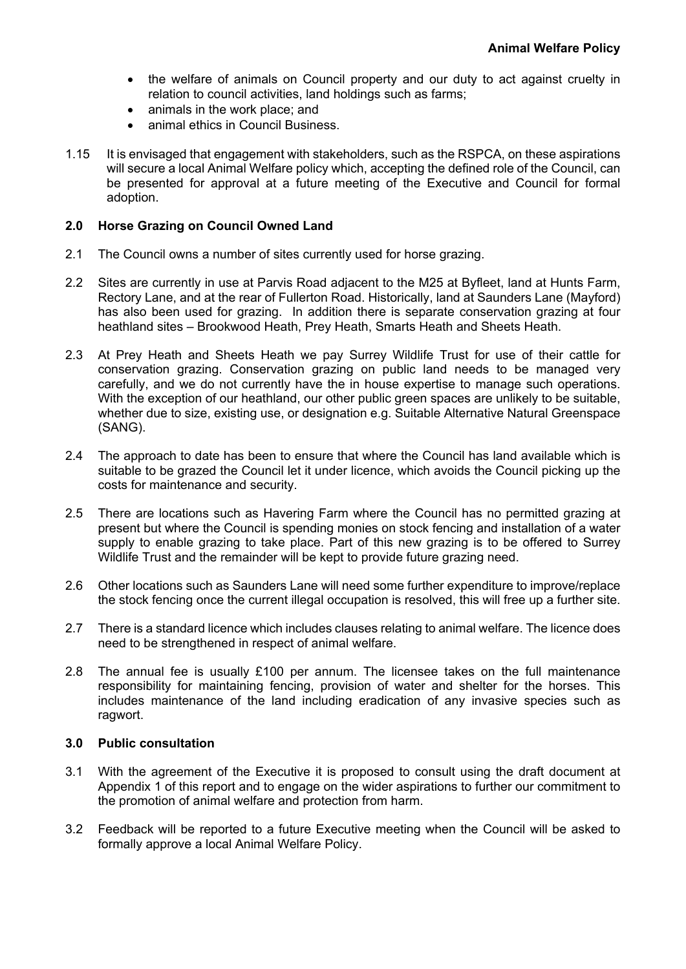- the welfare of animals on Council property and our duty to act against cruelty in relation to council activities, land holdings such as farms;
- animals in the work place; and
- animal ethics in Council Business.
- 1.15 It is envisaged that engagement with stakeholders, such as the RSPCA, on these aspirations will secure a local Animal Welfare policy which, accepting the defined role of the Council, can be presented for approval at a future meeting of the Executive and Council for formal adoption.

# **2.0 Horse Grazing on Council Owned Land**

- 2.1 The Council owns a number of sites currently used for horse grazing.
- 2.2 Sites are currently in use at Parvis Road adjacent to the M25 at Byfleet, land at Hunts Farm, Rectory Lane, and at the rear of Fullerton Road. Historically, land at Saunders Lane (Mayford) has also been used for grazing. In addition there is separate conservation grazing at four heathland sites – Brookwood Heath, Prey Heath, Smarts Heath and Sheets Heath.
- 2.3 At Prey Heath and Sheets Heath we pay Surrey Wildlife Trust for use of their cattle for conservation grazing. Conservation grazing on public land needs to be managed very carefully, and we do not currently have the in house expertise to manage such operations. With the exception of our heathland, our other public green spaces are unlikely to be suitable, whether due to size, existing use, or designation e.g. Suitable Alternative Natural Greenspace (SANG).
- 2.4 The approach to date has been to ensure that where the Council has land available which is suitable to be grazed the Council let it under licence, which avoids the Council picking up the costs for maintenance and security.
- 2.5 There are locations such as Havering Farm where the Council has no permitted grazing at present but where the Council is spending monies on stock fencing and installation of a water supply to enable grazing to take place. Part of this new grazing is to be offered to Surrey Wildlife Trust and the remainder will be kept to provide future grazing need.
- 2.6 Other locations such as Saunders Lane will need some further expenditure to improve/replace the stock fencing once the current illegal occupation is resolved, this will free up a further site.
- 2.7 There is a standard licence which includes clauses relating to animal welfare. The licence does need to be strengthened in respect of animal welfare.
- 2.8 The annual fee is usually £100 per annum. The licensee takes on the full maintenance responsibility for maintaining fencing, provision of water and shelter for the horses. This includes maintenance of the land including eradication of any invasive species such as ragwort.

# **3.0 Public consultation**

- 3.1 With the agreement of the Executive it is proposed to consult using the draft document at Appendix 1 of this report and to engage on the wider aspirations to further our commitment to the promotion of animal welfare and protection from harm.
- 3.2 Feedback will be reported to a future Executive meeting when the Council will be asked to formally approve a local Animal Welfare Policy.